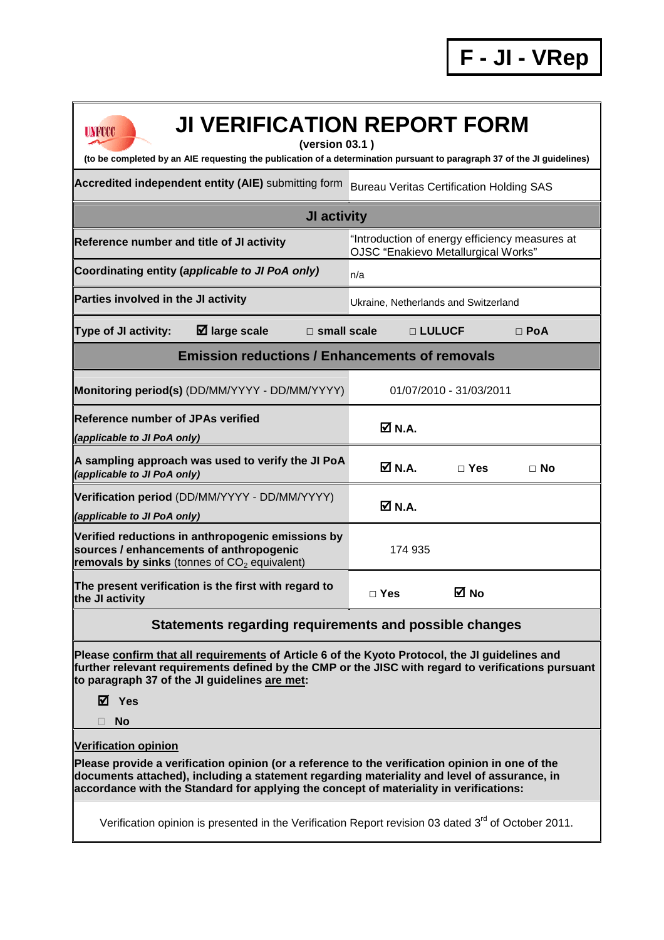| <b>JI VERIFICATION REPORT FORM</b><br><b>UNFCCC</b><br>(version 03.1)<br>(to be completed by an AIE requesting the publication of a determination pursuant to paragraph 37 of the JI guidelines)                                                                            |                                                                                       |                                                 |            |  |  |  |  |
|-----------------------------------------------------------------------------------------------------------------------------------------------------------------------------------------------------------------------------------------------------------------------------|---------------------------------------------------------------------------------------|-------------------------------------------------|------------|--|--|--|--|
| Accredited independent entity (AIE) submitting form                                                                                                                                                                                                                         |                                                                                       | <b>Bureau Veritas Certification Holding SAS</b> |            |  |  |  |  |
| <b>JI activity</b>                                                                                                                                                                                                                                                          |                                                                                       |                                                 |            |  |  |  |  |
| Reference number and title of JI activity                                                                                                                                                                                                                                   | "Introduction of energy efficiency measures at<br>OJSC "Enakievo Metallurgical Works" |                                                 |            |  |  |  |  |
| Coordinating entity (applicable to JI PoA only)                                                                                                                                                                                                                             | n/a                                                                                   |                                                 |            |  |  |  |  |
| Parties involved in the JI activity                                                                                                                                                                                                                                         | Ukraine, Netherlands and Switzerland                                                  |                                                 |            |  |  |  |  |
| $\boxtimes$ large scale<br><b>Type of JI activity:</b><br>$\Box$ small scale                                                                                                                                                                                                |                                                                                       | □ LULUCF                                        | $\Box$ PoA |  |  |  |  |
| <b>Emission reductions / Enhancements of removals</b>                                                                                                                                                                                                                       |                                                                                       |                                                 |            |  |  |  |  |
| Monitoring period(s) (DD/MM/YYYY - DD/MM/YYYY)                                                                                                                                                                                                                              | 01/07/2010 - 31/03/2011                                                               |                                                 |            |  |  |  |  |
| <b>Reference number of JPAs verified</b><br>(applicable to JI PoA only)                                                                                                                                                                                                     | $\overline{M}$ N.A.                                                                   |                                                 |            |  |  |  |  |
| A sampling approach was used to verify the JI PoA<br>(applicable to JI PoA only)                                                                                                                                                                                            | $\overline{\mathsf{M}}$ N.A.                                                          | $\Box$ Yes                                      | $\Box$ No  |  |  |  |  |
| Verification period (DD/MM/YYYY - DD/MM/YYYY)<br>(applicable to JI PoA only)                                                                                                                                                                                                | $M$ N.A.                                                                              |                                                 |            |  |  |  |  |
| Verified reductions in anthropogenic emissions by<br>sources / enhancements of anthropogenic<br>removals by sinks (tonnes of $CO2$ equivalent)                                                                                                                              | 174 935                                                                               |                                                 |            |  |  |  |  |
| The present verification is the first with regard to<br>the JI activity                                                                                                                                                                                                     | $\Box$ Yes                                                                            | M No                                            |            |  |  |  |  |
| Statements regarding requirements and possible changes                                                                                                                                                                                                                      |                                                                                       |                                                 |            |  |  |  |  |
| Please confirm that all requirements of Article 6 of the Kyoto Protocol, the JI guidelines and<br>further relevant requirements defined by the CMP or the JISC with regard to verifications pursuant<br>to paragraph 37 of the JI guidelines are met:<br>M Yes<br><b>No</b> |                                                                                       |                                                 |            |  |  |  |  |
| <b>Verification opinion</b><br>Please provide a verification opinion (or a reference to the verification opinion in one of the<br>documents attached), including a statement regarding materiality and level of assurance, in                                               |                                                                                       |                                                 |            |  |  |  |  |

**accordance with the Standard for applying the concept of materiality in verifications:** 

Verification opinion is presented in the Verification Report revision 03 dated 3<sup>rd</sup> of October 2011.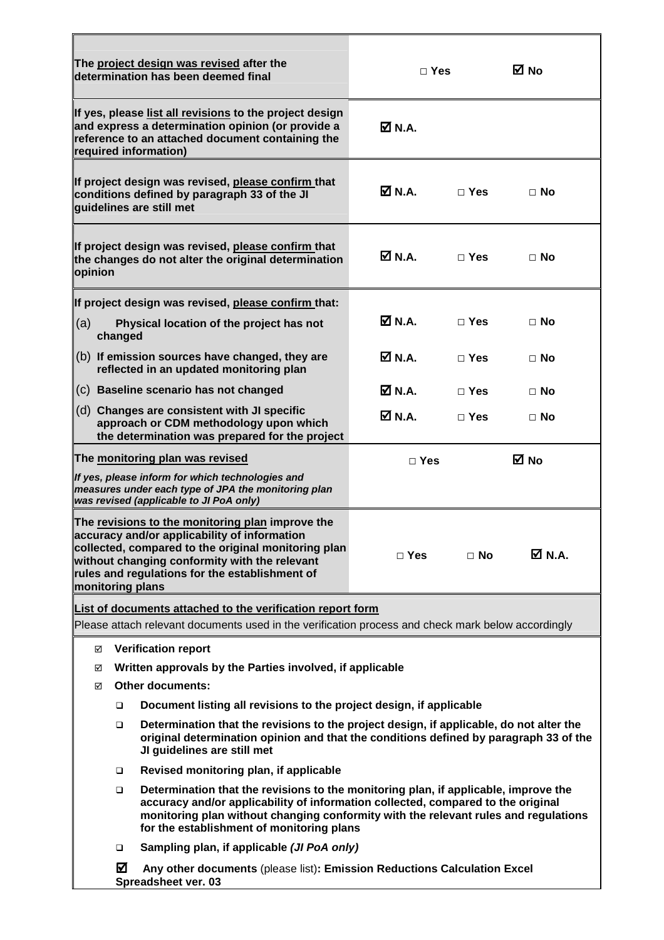|                                                               |                         | The project design was revised after the<br>determination has been deemed final                                                                                                                                                                                                                             | $\Box$ Yes                   |              | M No             |
|---------------------------------------------------------------|-------------------------|-------------------------------------------------------------------------------------------------------------------------------------------------------------------------------------------------------------------------------------------------------------------------------------------------------------|------------------------------|--------------|------------------|
|                                                               |                         | If yes, please list all revisions to the project design<br>and express a determination opinion (or provide a<br>reference to an attached document containing the<br>required information)                                                                                                                   | Ø N.A.                       |              |                  |
|                                                               |                         | If project design was revised, please confirm that<br>conditions defined by paragraph 33 of the JI<br>guidelines are still met                                                                                                                                                                              | <b>☑ N.A.</b>                | $\Box$ Yes   | $\Box$ No        |
| opinion                                                       |                         | If project design was revised, please confirm that<br>the changes do not alter the original determination                                                                                                                                                                                                   | Ø N.A.                       | $\Box$ Yes   | $\Box$ No        |
|                                                               |                         | If project design was revised, please confirm that:                                                                                                                                                                                                                                                         |                              |              |                  |
| (a)                                                           | changed                 | Physical location of the project has not                                                                                                                                                                                                                                                                    | $\overline{\mathbf{M}}$ N.A. | $\sqcap$ Yes | $\Box$ No        |
|                                                               |                         | (b) If emission sources have changed, they are<br>reflected in an updated monitoring plan                                                                                                                                                                                                                   | <b>☑ N.A.</b>                | $\Box$ Yes   | $\Box$ No        |
|                                                               |                         | (c) Baseline scenario has not changed                                                                                                                                                                                                                                                                       | <b>Ø</b> N.A.                | $\Box$ Yes   | $\Box$ No        |
|                                                               |                         | (d) Changes are consistent with JI specific<br>approach or CDM methodology upon which<br>the determination was prepared for the project                                                                                                                                                                     | $\boxtimes$ N.A.             | $\Box$ Yes   | $\Box$ No        |
|                                                               |                         | The monitoring plan was revised                                                                                                                                                                                                                                                                             | $\Box$ Yes                   |              | ⊠ No             |
|                                                               |                         | If yes, please inform for which technologies and<br>measures under each type of JPA the monitoring plan<br>was revised (applicable to JI PoA only)                                                                                                                                                          |                              |              |                  |
| monitoring plans                                              |                         | The revisions to the monitoring plan improve the<br>accuracy and/or applicability of information<br>collected, compared to the original monitoring plan<br>without changing conformity with the relevant<br>rules and regulations for the establishment of                                                  | $\Box$ Yes                   | $\Box$ No    | $\boxtimes$ N.A. |
|                                                               |                         | List of documents attached to the verification report form                                                                                                                                                                                                                                                  |                              |              |                  |
|                                                               |                         | Please attach relevant documents used in the verification process and check mark below accordingly                                                                                                                                                                                                          |                              |              |                  |
| ☑                                                             |                         | <b>Verification report</b>                                                                                                                                                                                                                                                                                  |                              |              |                  |
| Written approvals by the Parties involved, if applicable<br>☑ |                         |                                                                                                                                                                                                                                                                                                             |                              |              |                  |
| ☑                                                             | <b>Other documents:</b> |                                                                                                                                                                                                                                                                                                             |                              |              |                  |
|                                                               | $\Box$                  | Document listing all revisions to the project design, if applicable                                                                                                                                                                                                                                         |                              |              |                  |
|                                                               | $\Box$                  | Determination that the revisions to the project design, if applicable, do not alter the<br>original determination opinion and that the conditions defined by paragraph 33 of the<br>JI guidelines are still met                                                                                             |                              |              |                  |
|                                                               | □                       | Revised monitoring plan, if applicable                                                                                                                                                                                                                                                                      |                              |              |                  |
|                                                               | $\Box$                  | Determination that the revisions to the monitoring plan, if applicable, improve the<br>accuracy and/or applicability of information collected, compared to the original<br>monitoring plan without changing conformity with the relevant rules and regulations<br>for the establishment of monitoring plans |                              |              |                  |
|                                                               | ▫                       | Sampling plan, if applicable (JI PoA only)                                                                                                                                                                                                                                                                  |                              |              |                  |
|                                                               | ☑                       | Any other documents (please list): Emission Reductions Calculation Excel<br>Spreadsheet ver. 03                                                                                                                                                                                                             |                              |              |                  |

F